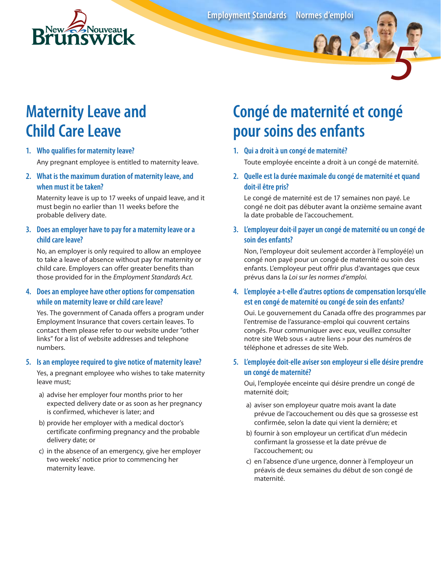

**Employment Standards Normes d'emploi**

# **Maternity Leave and Child Care Leave**

#### **1. Who qualifies for maternity leave?** Any pregnant employee is entitled to maternity leave.

#### **2. What is the maximum duration of maternity leave, and when must it be taken?**

Maternity leave is up to 17 weeks of unpaid leave, and it must begin no earlier than 11 weeks before the probable delivery date.

#### **3. Does an employer have to pay for a maternity leave or a child care leave?**

No, an employer is only required to allow an employee to take a leave of absence without pay for maternity or child care. Employers can offer greater benefits than those provided for in the *Employment Standards Act*.

#### **4. Does an employee have other options for compensation while on maternity leave or child care leave?**

Yes. The government of Canada offers a program under Employment Insurance that covers certain leaves. To contact them please refer to our website under "other links" for a list of website addresses and telephone numbers.

#### **5. Is an employee required to give notice of maternity leave?**

Yes, a pregnant employee who wishes to take maternity leave must;

- a) advise her employer four months prior to her expected delivery date or as soon as her pregnancy is confirmed, whichever is later; and
- b) provide her employer with a medical doctor's certificate confirming pregnancy and the probable delivery date; or
- c) in the absence of an emergency, give her employer two weeks' notice prior to commencing her maternity leave.

# **Congé de maternité et congé pour soins des enfants**

**1. Qui a droit à un congé de maternité?**

Toute employée enceinte a droit à un congé de maternité.

*5*

**2. Quelle est la durée maximale du congé de maternité et quand doit-il être pris?**

Le congé de maternité est de 17 semaines non payé. Le congé ne doit pas débuter avant la onzième semaine avant la date probable de l'accouchement.

#### **3. L'employeur doit-il payer un congé de maternité ou un congé de soin des enfants?**

Non, l'employeur doit seulement accorder à l'employé(e) un congé non payé pour un congé de maternité ou soin des enfants. L'employeur peut offrir plus d'avantages que ceux prévus dans la *Loi sur les normes d'emploi.*

#### **4. L'employée a-t-elle d'autres options de compensation lorsqu'elle est en congé de maternité ou congé de soin des enfants?**

Oui. Le gouvernement du Canada offre des programmes par l'entremise de l'assurance-emploi qui couvrent certains congés. Pour communiquer avec eux, veuillez consulter notre site Web sous « autre liens » pour des numéros de téléphone et adresses de site Web.

#### **5. L'employée doit-elle aviser son employeur si elle désire prendre un congé de maternité?**

Oui, l'employée enceinte qui désire prendre un congé de maternité doit;

- a) aviser son employeur quatre mois avant la date prévue de l'accouchement ou dès que sa grossesse est confirmée, selon la date qui vient la dernière; et
- b) fournir à son employeur un certificat d'un médecin confirmant la grossesse et la date prévue de l'accouchement; ou
- c) en l'absence d'une urgence, donner à l'employeur un préavis de deux semaines du début de son congé de maternité.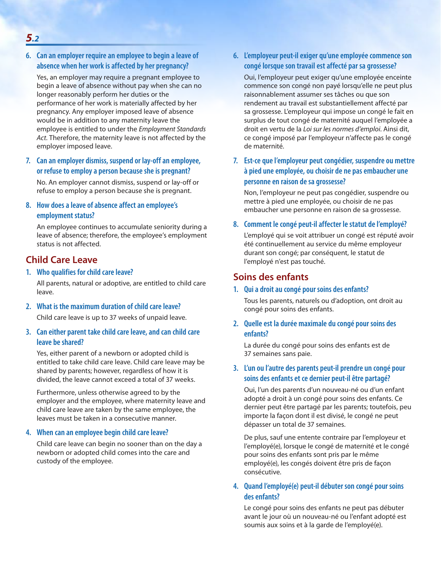**6. Can an employer require an employee to begin a leave of absence when her work is affected by her pregnancy?**

Yes, an employer may require a pregnant employee to begin a leave of absence without pay when she can no longer reasonably perform her duties or the performance of her work is materially affected by her pregnancy. Any employer imposed leave of absence would be in addition to any maternity leave the employee is entitled to under the *Employment Standards Act*. Therefore, the maternity leave is not affected by the employer imposed leave.

**7. Can an employer dismiss, suspend or lay-off an employee, or refuse to employ a person because she is pregnant?**

No. An employer cannot dismiss, suspend or lay-off or refuse to employ a person because she is pregnant.

#### **8. How does a leave of absence affect an employee's employment status?**

An employee continues to accumulate seniority during a leave of absence; therefore, the employee's employment status is not affected.

### **Child Care Leave**

**1. Who qualifies for child care leave?**

All parents, natural or adoptive, are entitled to child care leave.

**2. What is the maximum duration of child care leave?**

Child care leave is up to 37 weeks of unpaid leave.

#### **3. Can either parent take child care leave, and can child care leave be shared?**

Yes, either parent of a newborn or adopted child is entitled to take child care leave. Child care leave may be shared by parents; however, regardless of how it is divided, the leave cannot exceed a total of 37 weeks.

Furthermore, unless otherwise agreed to by the employer and the employee, where maternity leave and child care leave are taken by the same employee, the leaves must be taken in a consecutive manner.

#### **4. When can an employee begin child care leave?**

Child care leave can begin no sooner than on the day a newborn or adopted child comes into the care and custody of the employee.

**6. L'employeur peut-il exiger qu'une employée commence son congé lorsque son travail est affecté par sa grossesse?**

Oui, l'employeur peut exiger qu'une employée enceinte commence son congé non payé lorsqu'elle ne peut plus raisonnablement assumer ses tâches ou que son rendement au travail est substantiellement affecté par sa grossesse. L'employeur qui impose un congé le fait en surplus de tout congé de maternité auquel l'employée a droit en vertu de la *Loi sur les normes d'emploi*. Ainsi dit, ce congé imposé par l'employeur n'affecte pas le congé de maternité.

**7. Est-ce que l'employeur peut congédier, suspendre ou mettre à pied une employée, ou choisir de ne pas embaucher une personne en raison de sa grossesse?**

Non, l'employeur ne peut pas congédier, suspendre ou mettre à pied une employée, ou choisir de ne pas embaucher une personne en raison de sa grossesse.

#### **8. Comment le congé peut-il affecter le statut de l'employé?**

L'employé qui se voit attribuer un congé est réputé avoir été continuellement au service du même employeur durant son congé; par conséquent, le statut de l'employé n'est pas touché.

#### **Soins des enfants**

#### **1. Qui a droit au congé pour soins des enfants?**

Tous les parents, naturels ou d'adoption, ont droit au congé pour soins des enfants.

**2. Quelle est la durée maximale du congé pour soins des enfants?**

La durée du congé pour soins des enfants est de 37 semaines sans paie.

#### **3. L'un ou l'autre des parents peut-il prendre un congé pour soins des enfants et ce dernier peut-il être partagé?**

Oui, l'un des parents d'un nouveau-né ou d'un enfant adopté a droit à un congé pour soins des enfants. Ce dernier peut être partagé par les parents; toutefois, peu importe la façon dont il est divisé, le congé ne peut dépasser un total de 37 semaines.

De plus, sauf une entente contraire par l'employeur et l'employé(e), lorsque le congé de maternité et le congé pour soins des enfants sont pris par le même employé(e), les congés doivent être pris de façon consécutive.

#### **4. Quand l'employé(e) peut-il débuter son congé pour soins des enfants?**

Le congé pour soins des enfants ne peut pas débuter avant le jour où un nouveau-né ou l'enfant adopté est soumis aux soins et à la garde de l'employé(e).